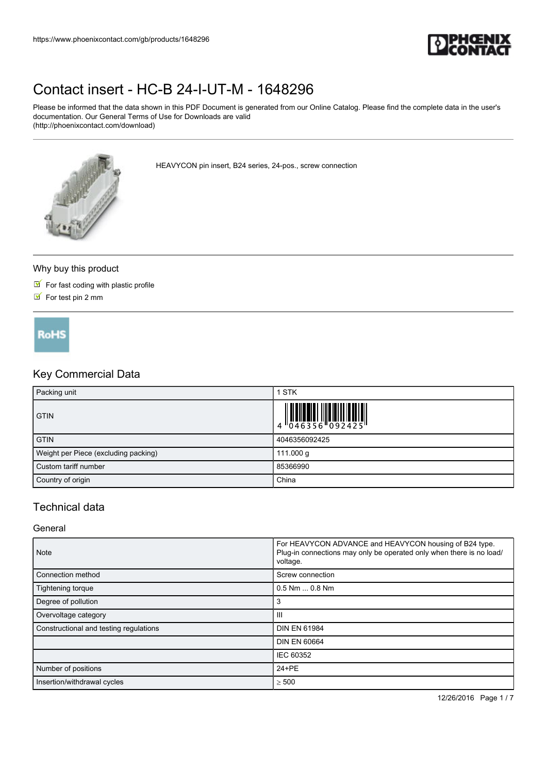

Please be informed that the data shown in this PDF Document is generated from our Online Catalog. Please find the complete data in the user's documentation. Our General Terms of Use for Downloads are valid (http://phoenixcontact.com/download)



HEAVYCON pin insert, B24 series, 24-pos., screw connection

#### Why buy this product

- $\blacksquare$  For fast coding with plastic profile
- $\triangleright$  For test pin 2 mm

**RoHS** 

## Key Commercial Data

| Packing unit                         | 1 STK                                                                                                                                                                                                                                                                                                                    |
|--------------------------------------|--------------------------------------------------------------------------------------------------------------------------------------------------------------------------------------------------------------------------------------------------------------------------------------------------------------------------|
| <b>GTIN</b>                          | $\begin{array}{c} 1 & 0 & 0 & 0 & 0 \\ 0 & 0 & 4 & 6 & 3 & 5 & 6 \\ 0 & 0 & 0 & 0 & 5 & 6 & 0 \\ 0 & 0 & 0 & 0 & 0 & 0 & 0 \\ 0 & 0 & 0 & 0 & 0 & 0 & 0 \\ 0 & 0 & 0 & 0 & 0 & 0 & 0 \\ 0 & 0 & 0 & 0 & 0 & 0 & 0 \\ 0 & 0 & 0 & 0 & 0 & 0 & 0 \\ 0 & 0 & 0 & 0 & 0 & 0 & 0 \\ 0 & 0 & 0 & 0 & 0 & 0 & 0 & 0 \\ 0 & 0 &$ |
| <b>GTIN</b>                          | 4046356092425                                                                                                                                                                                                                                                                                                            |
| Weight per Piece (excluding packing) | 111.000 g                                                                                                                                                                                                                                                                                                                |
| Custom tariff number                 | 85366990                                                                                                                                                                                                                                                                                                                 |
| Country of origin                    | China                                                                                                                                                                                                                                                                                                                    |

## Technical data

#### General

| <b>Note</b>                            | For HEAVYCON ADVANCE and HEAVYCON housing of B24 type.<br>Plug-in connections may only be operated only when there is no load/<br>voltage. |
|----------------------------------------|--------------------------------------------------------------------------------------------------------------------------------------------|
| Connection method                      | Screw connection                                                                                                                           |
| Tightening torque                      | $0.5$ Nm $\dots$ 0.8 Nm                                                                                                                    |
| Degree of pollution                    | 3                                                                                                                                          |
| Overvoltage category                   | Ш                                                                                                                                          |
| Constructional and testing regulations | <b>DIN EN 61984</b>                                                                                                                        |
|                                        | <b>DIN EN 60664</b>                                                                                                                        |
|                                        | IEC 60352                                                                                                                                  |
| Number of positions                    | 24+PE                                                                                                                                      |
| Insertion/withdrawal cycles            | $\geq 500$                                                                                                                                 |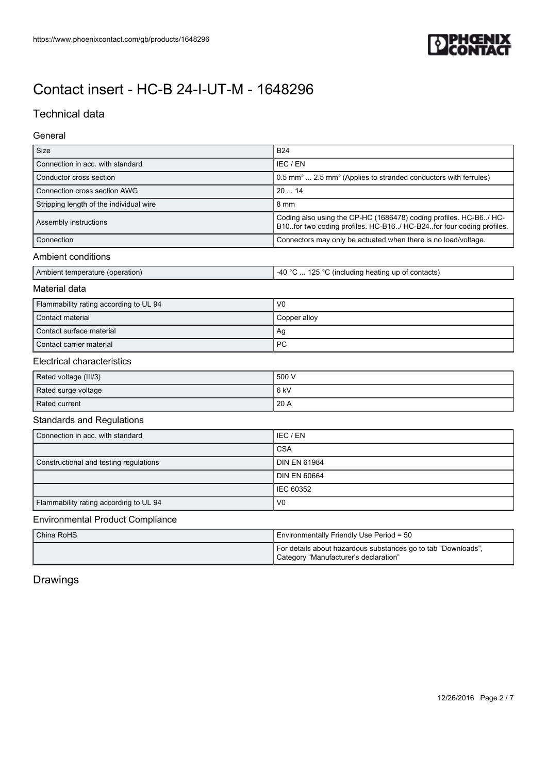

# Technical data

## General

| Size                                    | <b>B24</b>                                                                                                                                   |  |
|-----------------------------------------|----------------------------------------------------------------------------------------------------------------------------------------------|--|
| Connection in acc. with standard        | IEC / EN                                                                                                                                     |  |
| Conductor cross section                 | 0.5 mm <sup>2</sup> 2.5 mm <sup>2</sup> (Applies to stranded conductors with ferrules)                                                       |  |
| Connection cross section AWG            | 2014                                                                                                                                         |  |
| Stripping length of the individual wire | 8 mm                                                                                                                                         |  |
| Assembly instructions                   | Coding also using the CP-HC (1686478) coding profiles. HC-B6/ HC-<br>B10. for two coding profiles. HC-B16/ HC-B24. for four coding profiles. |  |
| Connection                              | Connectors may only be actuated when there is no load/voltage.                                                                               |  |
| Ambient conditions                      |                                                                                                                                              |  |
| Ambient temperature (operation)         | -40 °C  125 °C (including heating up of contacts)                                                                                            |  |
| Material data                           |                                                                                                                                              |  |
| Flammability rating according to UL 94  | V <sub>0</sub>                                                                                                                               |  |
| Contact material                        | Copper alloy                                                                                                                                 |  |
| Contact surface material                | Ag                                                                                                                                           |  |
| Contact carrier material                | <b>PC</b>                                                                                                                                    |  |
| <b>Electrical characteristics</b>       |                                                                                                                                              |  |
| Rated voltage (III/3)                   | 500 V                                                                                                                                        |  |
| Rated surge voltage                     | 6 <sub>kV</sub>                                                                                                                              |  |
| Rated current                           | 20 A                                                                                                                                         |  |
| <b>Standards and Regulations</b>        |                                                                                                                                              |  |
| Connection in acc. with standard        | IEC / EN                                                                                                                                     |  |
|                                         | <b>CSA</b>                                                                                                                                   |  |
| Constructional and testing regulations  | <b>DIN EN 61984</b>                                                                                                                          |  |
|                                         | <b>DIN EN 60664</b>                                                                                                                          |  |
|                                         | <b>IEC 60352</b>                                                                                                                             |  |
| Flammability rating according to UL 94  | V <sub>0</sub>                                                                                                                               |  |
| <b>Environmental Product Compliance</b> |                                                                                                                                              |  |
|                                         |                                                                                                                                              |  |

| China RoHS | Environmentally Friendly Use Period = 50                                                               |
|------------|--------------------------------------------------------------------------------------------------------|
|            | For details about hazardous substances go to tab "Downloads".<br>Category "Manufacturer's declaration" |

# Drawings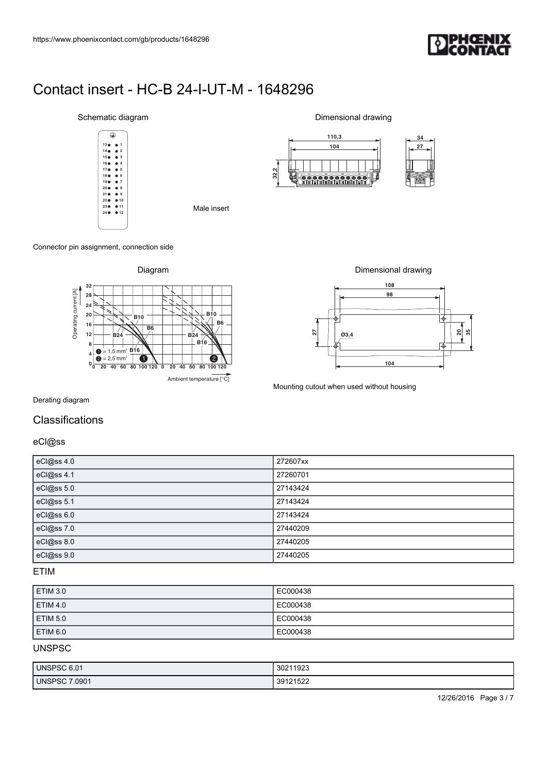

# Schematic diagram **24 23 22 21 20 19 18 17 16 15 14 13 1 2 3 4 5 6 7 8 9 10 11 12**









# **Classifications**

| https://www.phoenixcontact.com/gb/products/1648296                                                                                                                                                                                                                                                                                                                                |                                                                                                                        |
|-----------------------------------------------------------------------------------------------------------------------------------------------------------------------------------------------------------------------------------------------------------------------------------------------------------------------------------------------------------------------------------|------------------------------------------------------------------------------------------------------------------------|
| Contact insert - HC-B 24-I-UT-M - 1648296                                                                                                                                                                                                                                                                                                                                         |                                                                                                                        |
|                                                                                                                                                                                                                                                                                                                                                                                   |                                                                                                                        |
| Schematic diagram                                                                                                                                                                                                                                                                                                                                                                 | Dimensional drawing                                                                                                    |
| ⊕<br>13 <sub>0</sub><br>14 <sub>0</sub><br>15<br>16<br>17<br>18<br>19 <sub>1</sub><br>20 <sub>0</sub><br>21<br>22 <sub>0</sub><br>•10<br>23 <sub>0</sub><br>• 11<br>Male insert<br>24 <sup>o</sup><br>•12                                                                                                                                                                         | 110,3<br>34<br>104<br>27<br>32,2<br>Щ<br><b>essessesses</b> )<br><u>MMMMMMMMMMMM</u>                                   |
|                                                                                                                                                                                                                                                                                                                                                                                   |                                                                                                                        |
| Connector pin assignment, connection side                                                                                                                                                                                                                                                                                                                                         |                                                                                                                        |
| Diagram<br>32<br>Operating current [A]<br>28<br>24<br><b>B10</b><br>20<br><b>B10</b><br><b>B6</b><br>16<br><b>B6</b><br>$12\,$<br><b>B24</b><br><b>B24</b><br><b>B16</b><br>8<br>$\bullet$ = 1,5 mm <sup>2</sup> $\frac{B16}{1}$<br>$\overline{4}$<br>$= 2.5$ mm <sup>2</sup><br>$\bullet$<br>❷<br>v<br>$\mathbf{0}_{\mathbf{0}}$<br>40 60 80 100 120 0 20 40 60 80 100 120<br>20 | Dimensional drawing<br>108<br>98<br>⊺⊕<br>$\frac{1}{2}$ ສ<br>$\overline{27}$<br>03,4<br>Δ<br>$\Rightarrow$<br>∯<br>104 |
| Ambient temperature [°C]<br>Derating diagram                                                                                                                                                                                                                                                                                                                                      | Mounting cutout when used without housing                                                                              |
| Classifications                                                                                                                                                                                                                                                                                                                                                                   |                                                                                                                        |
| eCl@ss                                                                                                                                                                                                                                                                                                                                                                            |                                                                                                                        |
| eCl@ss 4.0                                                                                                                                                                                                                                                                                                                                                                        | 272607xx                                                                                                               |
| eCl@ss 4.1<br>eCl@ss 5.0                                                                                                                                                                                                                                                                                                                                                          | 27260701<br>27143424                                                                                                   |
| eCl@ss 5.1                                                                                                                                                                                                                                                                                                                                                                        | 27143424                                                                                                               |
| eCl@ss 6.0                                                                                                                                                                                                                                                                                                                                                                        | 27143424                                                                                                               |
| eCl@ss 7.0<br>eCl@ss 8.0                                                                                                                                                                                                                                                                                                                                                          | 27440209<br>27440205                                                                                                   |

## ETIM

| <b>ETIM 3.0</b>     | EC000438 |
|---------------------|----------|
| ETIM <sub>4.0</sub> | EC000438 |
| <b>ETIM 5.0</b>     | EC000438 |
| <b>ETIM 6.0</b>     | EC000438 |

## UNSPSC

| UNSPSC 6.01      | 1000<br>ימ∩י.<br>1923<br>ouz i |
|------------------|--------------------------------|
| UNSPSC<br>7.0901 | 0.0000<br>301<br>10ZZ<br>ັບ    |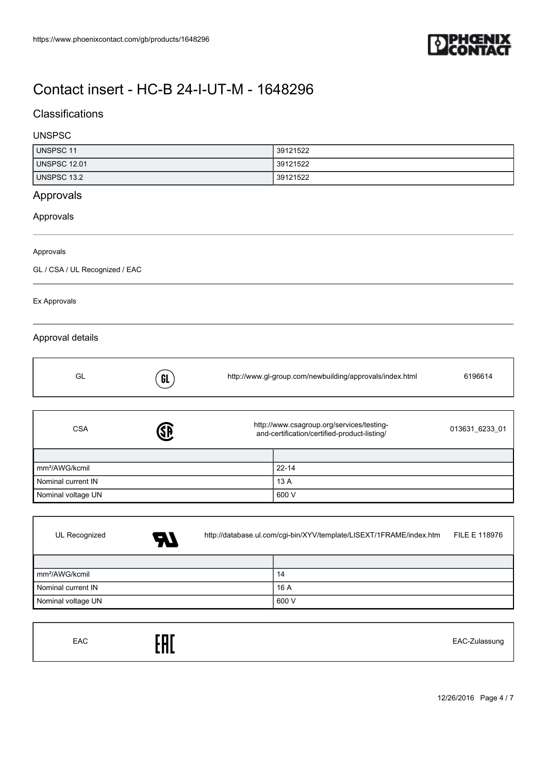

## **Classifications**

### UNSPSC

| UNSPSC 11           | 39121522 |
|---------------------|----------|
| <b>UNSPSC 12.01</b> | 39121522 |
| UNSPSC 13.2         | 39121522 |

# Approvals

#### Approvals

#### Approvals

GL / CSA / UL Recognized / EAC

#### Ex Approvals

ſ

#### Approval details

| http://www.gl-group.com/newbuilding/approvals/index.html<br>GL<br>6196614<br>GL |
|---------------------------------------------------------------------------------|
|---------------------------------------------------------------------------------|

| <b>CSA</b>                 |  | http://www.csagroup.org/services/testing-<br>and-certification/certified-product-listing/ | 013631 6233 01 |
|----------------------------|--|-------------------------------------------------------------------------------------------|----------------|
|                            |  |                                                                                           |                |
| mm <sup>2</sup> /AWG/kcmil |  | $22 - 14$                                                                                 |                |
| Nominal current IN         |  | 13A                                                                                       |                |
| Nominal voltage UN         |  | 600 V                                                                                     |                |

| UL Recognized<br>RV.       | http://database.ul.com/cgi-bin/XYV/template/LISEXT/1FRAME/index.htm | FILE E 118976 |
|----------------------------|---------------------------------------------------------------------|---------------|
|                            |                                                                     |               |
| mm <sup>2</sup> /AWG/kcmil | 14                                                                  |               |
| Nominal current IN         | 16 A                                                                |               |
| Nominal voltage UN         | 600 V                                                               |               |

| F 6 F 1<br>EAC<br><u>LIIL</u> | EAC-Zulassung |
|-------------------------------|---------------|
|-------------------------------|---------------|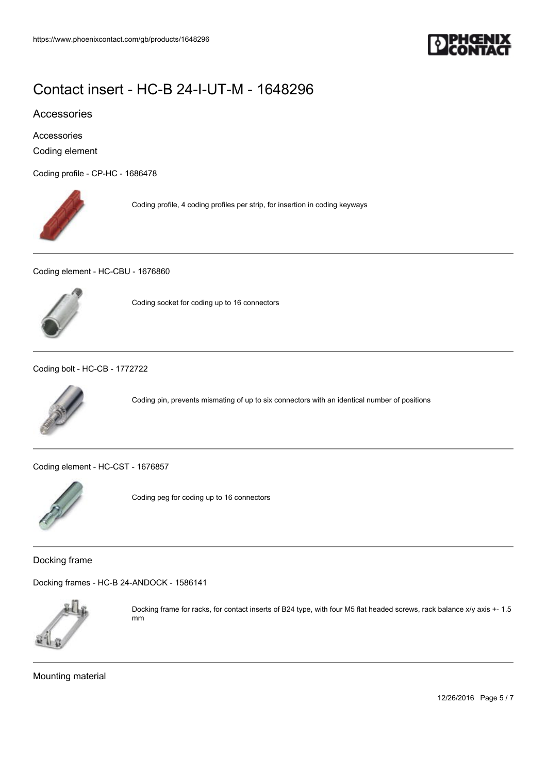

#### Accessories

Accessories

Coding element

[Coding profile - CP-HC - 1686478](https://www.phoenixcontact.com/gb/products/1686478)



Coding profile, 4 coding profiles per strip, for insertion in coding keyways

[Coding element - HC-CBU - 1676860](https://www.phoenixcontact.com/gb/products/1676860)



Coding socket for coding up to 16 connectors

[Coding bolt - HC-CB - 1772722](https://www.phoenixcontact.com/gb/products/1772722)



Coding pin, prevents mismating of up to six connectors with an identical number of positions

[Coding element - HC-CST - 1676857](https://www.phoenixcontact.com/gb/products/1676857)



Coding peg for coding up to 16 connectors

Docking frame

[Docking frames - HC-B 24-ANDOCK - 1586141](https://www.phoenixcontact.com/gb/products/1586141)



Docking frame for racks, for contact inserts of B24 type, with four M5 flat headed screws, rack balance x/y axis +- 1.5 mm

Mounting material

12/26/2016 Page 5 / 7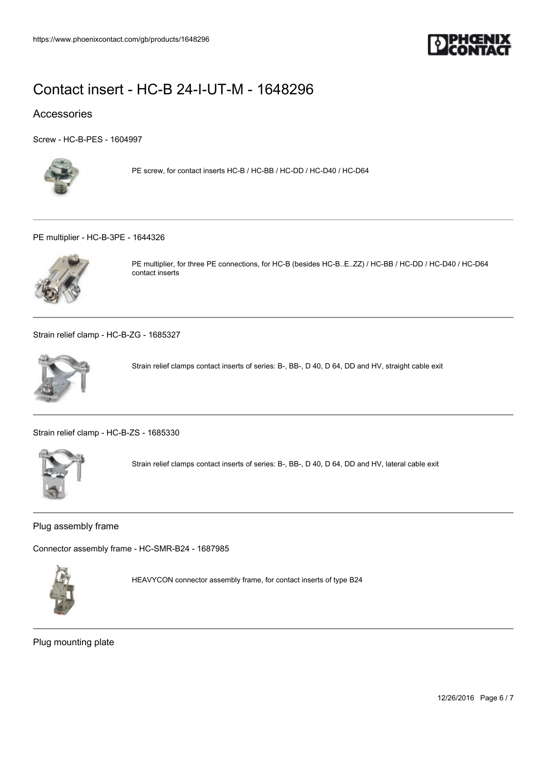

#### Accessories

[Screw - HC-B-PES - 1604997](https://www.phoenixcontact.com/gb/products/1604997)



PE screw, for contact inserts HC-B / HC-BB / HC-DD / HC-D40 / HC-D64

[PE multiplier - HC-B-3PE - 1644326](https://www.phoenixcontact.com/gb/products/1644326)



PE multiplier, for three PE connections, for HC-B (besides HC-B..E..ZZ) / HC-BB / HC-DD / HC-D40 / HC-D64 contact inserts

[Strain relief clamp - HC-B-ZG - 1685327](https://www.phoenixcontact.com/gb/products/1685327)



Strain relief clamps contact inserts of series: B-, BB-, D 40, D 64, DD and HV, straight cable exit

[Strain relief clamp - HC-B-ZS - 1685330](https://www.phoenixcontact.com/gb/products/1685330)



Strain relief clamps contact inserts of series: B-, BB-, D 40, D 64, DD and HV, lateral cable exit

Plug assembly frame

[Connector assembly frame - HC-SMR-B24 - 1687985](https://www.phoenixcontact.com/gb/products/1687985)



HEAVYCON connector assembly frame, for contact inserts of type B24

Plug mounting plate